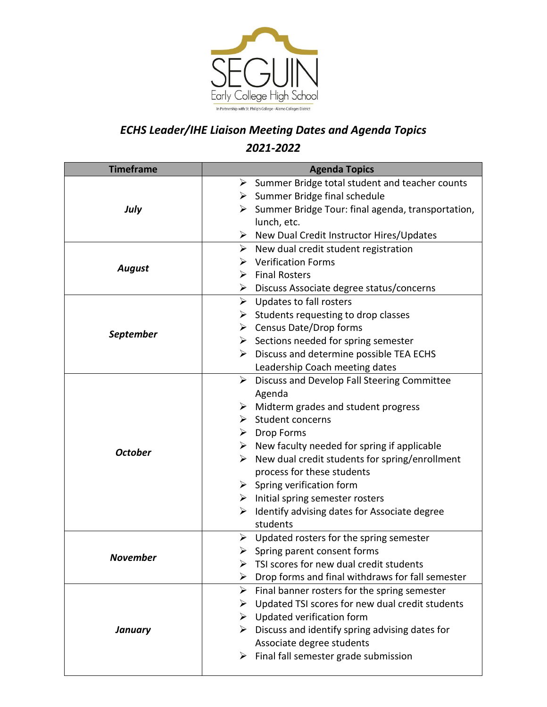

## *ECHS Leader/IHE Liaison Meeting Dates and Agenda Topics 2021-2022*

| <b>Timeframe</b> | <b>Agenda Topics</b>                                               |
|------------------|--------------------------------------------------------------------|
| July             | $\triangleright$ Summer Bridge total student and teacher counts    |
|                  | $\triangleright$ Summer Bridge final schedule                      |
|                  | $\triangleright$ Summer Bridge Tour: final agenda, transportation, |
|                  | lunch, etc.                                                        |
|                  | $\triangleright$ New Dual Credit Instructor Hires/Updates          |
| <b>August</b>    | $\triangleright$ New dual credit student registration              |
|                  | <b>Verification Forms</b>                                          |
|                  | $\triangleright$ Final Rosters                                     |
|                  | $\triangleright$ Discuss Associate degree status/concerns          |
| <b>September</b> | $\triangleright$ Updates to fall rosters                           |
|                  | $\triangleright$ Students requesting to drop classes               |
|                  | $\triangleright$ Census Date/Drop forms                            |
|                  | $\triangleright$ Sections needed for spring semester               |
|                  | $\triangleright$ Discuss and determine possible TEA ECHS           |
|                  | Leadership Coach meeting dates                                     |
|                  | <b>Discuss and Develop Fall Steering Committee</b><br>➤            |
|                  | Agenda                                                             |
|                  | $\triangleright$ Midterm grades and student progress               |
|                  | $\triangleright$ Student concerns                                  |
|                  | $\triangleright$ Drop Forms                                        |
|                  | $\triangleright$ New faculty needed for spring if applicable       |
| <b>October</b>   | $\triangleright$ New dual credit students for spring/enrollment    |
|                  | process for these students                                         |
|                  | $\triangleright$ Spring verification form                          |
|                  | $\triangleright$ Initial spring semester rosters                   |
|                  | $\triangleright$ Identify advising dates for Associate degree      |
|                  | students                                                           |
| <b>November</b>  | $\triangleright$ Updated rosters for the spring semester           |
|                  | $\triangleright$ Spring parent consent forms                       |
|                  | TSI scores for new dual credit students                            |
|                  | Drop forms and final withdraws for fall semester<br>➤              |
| <b>January</b>   | Final banner rosters for the spring semester<br>➤                  |
|                  | $\triangleright$ Updated TSI scores for new dual credit students   |
|                  | $\triangleright$ Updated verification form                         |
|                  | Discuss and identify spring advising dates for<br>➤                |
|                  | Associate degree students                                          |
|                  | $\triangleright$ Final fall semester grade submission              |
|                  |                                                                    |